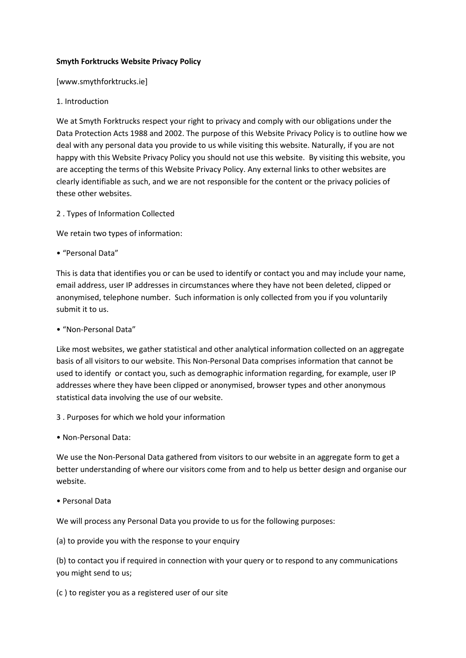#### **Smyth Forktrucks Website Privacy Policy**

[www.smythforktrucks.ie]

### 1. Introduction

We at Smyth Forktrucks respect your right to privacy and comply with our obligations under the Data Protection Acts 1988 and 2002. The purpose of this Website Privacy Policy is to outline how we deal with any personal data you provide to us while visiting this website. Naturally, if you are not happy with this Website Privacy Policy you should not use this website. By visiting this website, you are accepting the terms of this Website Privacy Policy. Any external links to other websites are clearly identifiable as such, and we are not responsible for the content or the privacy policies of these other websites.

2 . Types of Information Collected

We retain two types of information:

• "Personal Data"

This is data that identifies you or can be used to identify or contact you and may include your name, email address, user IP addresses in circumstances where they have not been deleted, clipped or anonymised, telephone number. Such information is only collected from you if you voluntarily submit it to us.

• "Non-Personal Data"

Like most websites, we gather statistical and other analytical information collected on an aggregate basis of all visitors to our website. This Non-Personal Data comprises information that cannot be used to identify or contact you, such as demographic information regarding, for example, user IP addresses where they have been clipped or anonymised, browser types and other anonymous statistical data involving the use of our website.

- 3 . Purposes for which we hold your information
- Non-Personal Data:

We use the Non-Personal Data gathered from visitors to our website in an aggregate form to get a better understanding of where our visitors come from and to help us better design and organise our website.

• Personal Data

We will process any Personal Data you provide to us for the following purposes:

(a) to provide you with the response to your enquiry

(b) to contact you if required in connection with your query or to respond to any communications you might send to us;

(c ) to register you as a registered user of our site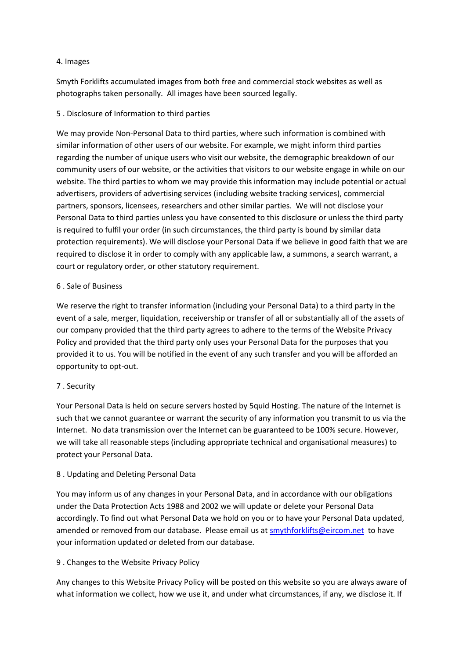#### 4. Images

Smyth Forklifts accumulated images from both free and commercial stock websites as well as photographs taken personally. All images have been sourced legally.

### 5 . Disclosure of Information to third parties

We may provide Non-Personal Data to third parties, where such information is combined with similar information of other users of our website. For example, we might inform third parties regarding the number of unique users who visit our website, the demographic breakdown of our community users of our website, or the activities that visitors to our website engage in while on our website. The third parties to whom we may provide this information may include potential or actual advertisers, providers of advertising services (including website tracking services), commercial partners, sponsors, licensees, researchers and other similar parties. We will not disclose your Personal Data to third parties unless you have consented to this disclosure or unless the third party is required to fulfil your order (in such circumstances, the third party is bound by similar data protection requirements). We will disclose your Personal Data if we believe in good faith that we are required to disclose it in order to comply with any applicable law, a summons, a search warrant, a court or regulatory order, or other statutory requirement.

### 6 . Sale of Business

We reserve the right to transfer information (including your Personal Data) to a third party in the event of a sale, merger, liquidation, receivership or transfer of all or substantially all of the assets of our company provided that the third party agrees to adhere to the terms of the Website Privacy Policy and provided that the third party only uses your Personal Data for the purposes that you provided it to us. You will be notified in the event of any such transfer and you will be afforded an opportunity to opt-out.

# 7 . Security

Your Personal Data is held on secure servers hosted by 5quid Hosting. The nature of the Internet is such that we cannot guarantee or warrant the security of any information you transmit to us via the Internet. No data transmission over the Internet can be guaranteed to be 100% secure. However, we will take all reasonable steps (including appropriate technical and organisational measures) to protect your Personal Data.

# 8 . Updating and Deleting Personal Data

You may inform us of any changes in your Personal Data, and in accordance with our obligations under the Data Protection Acts 1988 and 2002 we will update or delete your Personal Data accordingly. To find out what Personal Data we hold on you or to have your Personal Data updated, amended or removed from our database. Please email us a[t smythforklifts@eircom.net](mailto:smythforklifts@eircom.net) to have your information updated or deleted from our database.

# 9 . Changes to the Website Privacy Policy

Any changes to this Website Privacy Policy will be posted on this website so you are always aware of what information we collect, how we use it, and under what circumstances, if any, we disclose it. If